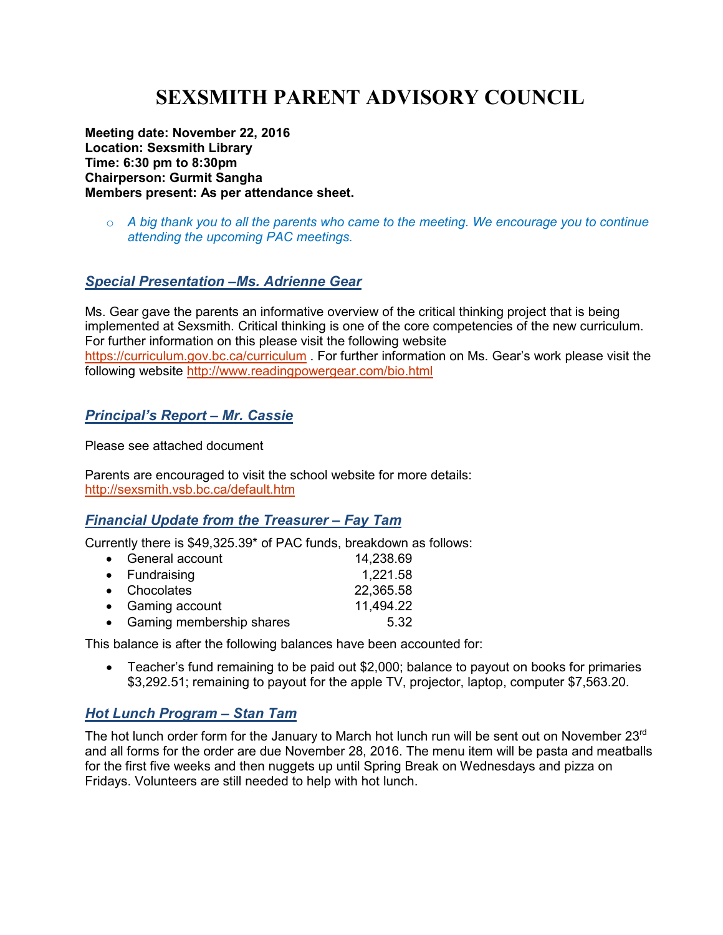# **SEXSMITH PARENT ADVISORY COUNCIL**

**Meeting date: November 22, 2016 Location: Sexsmith Library Time: 6:30 pm to 8:30pm Chairperson: Gurmit Sangha Members present: As per attendance sheet.** 

o *A big thank you to all the parents who came to the meeting. We encourage you to continue attending the upcoming PAC meetings.* 

## *Special Presentation –Ms. Adrienne Gear*

Ms. Gear gave the parents an informative overview of the critical thinking project that is being implemented at Sexsmith. Critical thinking is one of the core competencies of the new curriculum. For further information on this please visit the following website https://curriculum.gov.bc.ca/curriculum . For further information on Ms. Gear's work please visit the following website http://www.readingpowergear.com/bio.html

## *Principal's Report – Mr. Cassie*

Please see attached document

Parents are encouraged to visit the school website for more details: http://sexsmith.vsb.bc.ca/default.htm

# *Financial Update from the Treasurer – Fay Tam*

Currently there is \$49,325.39\* of PAC funds, breakdown as follows:

| • General account          | 14,238.69 |
|----------------------------|-----------|
| • Fundraising              | 1,221.58  |
| • Chocolates               | 22,365.58 |
| • Gaming account           | 11,494.22 |
| • Gaming membership shares | 5.32      |

This balance is after the following balances have been accounted for:

• Teacher's fund remaining to be paid out \$2,000; balance to payout on books for primaries \$3,292.51; remaining to payout for the apple TV, projector, laptop, computer \$7,563.20.

#### *Hot Lunch Program – Stan Tam*

The hot lunch order form for the January to March hot lunch run will be sent out on November 23<sup>rd</sup> and all forms for the order are due November 28, 2016. The menu item will be pasta and meatballs for the first five weeks and then nuggets up until Spring Break on Wednesdays and pizza on Fridays. Volunteers are still needed to help with hot lunch.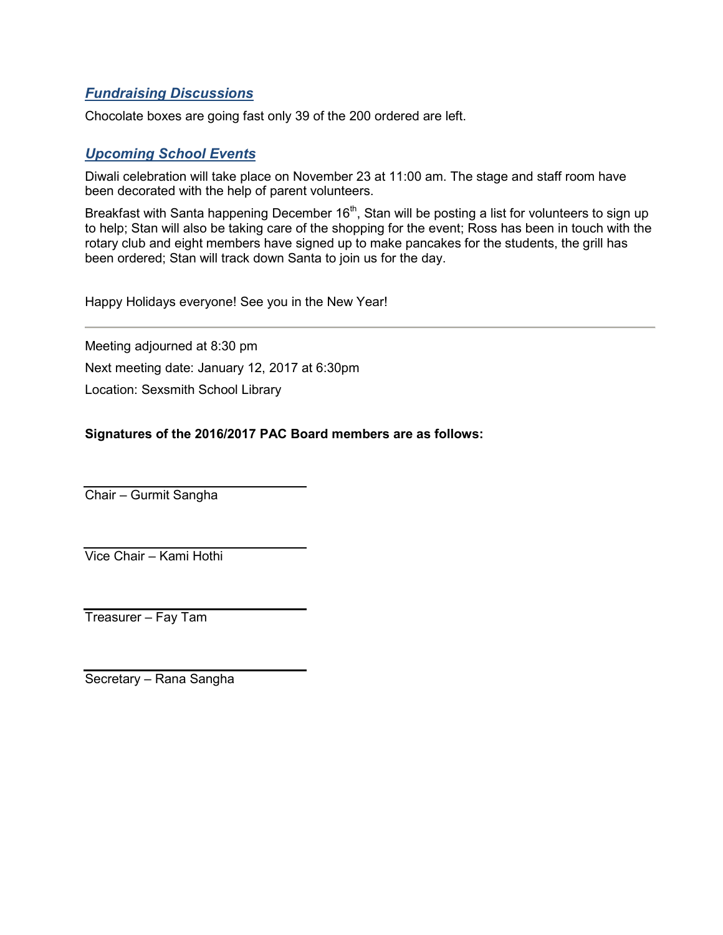# *Fundraising Discussions*

Chocolate boxes are going fast only 39 of the 200 ordered are left.

## *Upcoming School Events*

Diwali celebration will take place on November 23 at 11:00 am. The stage and staff room have been decorated with the help of parent volunteers.

Breakfast with Santa happening December  $16<sup>th</sup>$ , Stan will be posting a list for volunteers to sign up to help; Stan will also be taking care of the shopping for the event; Ross has been in touch with the rotary club and eight members have signed up to make pancakes for the students, the grill has been ordered; Stan will track down Santa to join us for the day.

Happy Holidays everyone! See you in the New Year!

Meeting adjourned at 8:30 pm Next meeting date: January 12, 2017 at 6:30pm Location: Sexsmith School Library

#### **Signatures of the 2016/2017 PAC Board members are as follows:**

Chair – Gurmit Sangha

Vice Chair – Kami Hothi

Treasurer – Fay Tam

Secretary – Rana Sangha